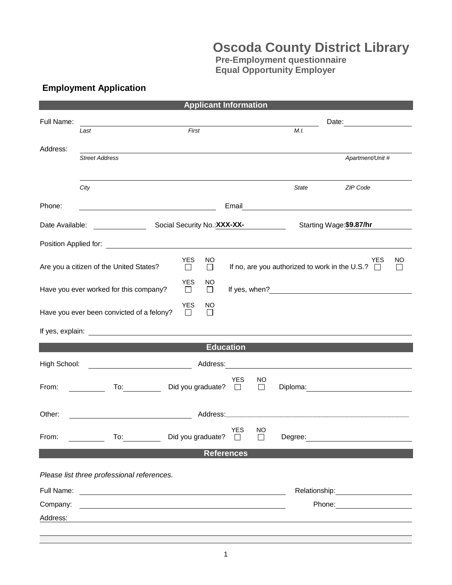## **Oscoda County District Library**

**Pre-Employment questionnaire Equal Opportunity Employer**

## **Employment Application**

| <b>Applicant Information</b>                                                                                                                                                                                                             |                                                                                                                                                                                                                                |                                       |                              |                    |                          |                                                                                                                                                                                                                                |    |  |  |  |  |
|------------------------------------------------------------------------------------------------------------------------------------------------------------------------------------------------------------------------------------------|--------------------------------------------------------------------------------------------------------------------------------------------------------------------------------------------------------------------------------|---------------------------------------|------------------------------|--------------------|--------------------------|--------------------------------------------------------------------------------------------------------------------------------------------------------------------------------------------------------------------------------|----|--|--|--|--|
| Full Name:                                                                                                                                                                                                                               |                                                                                                                                                                                                                                |                                       |                              |                    |                          |                                                                                                                                                                                                                                |    |  |  |  |  |
|                                                                                                                                                                                                                                          | Last                                                                                                                                                                                                                           | First                                 |                              |                    | M.L.                     |                                                                                                                                                                                                                                |    |  |  |  |  |
| Address:                                                                                                                                                                                                                                 | <b>Street Address</b>                                                                                                                                                                                                          |                                       |                              |                    |                          | Apartment/Unit #                                                                                                                                                                                                               |    |  |  |  |  |
|                                                                                                                                                                                                                                          |                                                                                                                                                                                                                                |                                       |                              |                    |                          |                                                                                                                                                                                                                                |    |  |  |  |  |
|                                                                                                                                                                                                                                          | City                                                                                                                                                                                                                           |                                       |                              |                    | State                    | <b>ZIP Code</b>                                                                                                                                                                                                                |    |  |  |  |  |
| Phone:                                                                                                                                                                                                                                   | <u> 1989 - Johann Barn, mars ann an t-Amhair an t-A</u>                                                                                                                                                                        |                                       |                              |                    |                          |                                                                                                                                                                                                                                |    |  |  |  |  |
| Date Available:                                                                                                                                                                                                                          |                                                                                                                                                                                                                                |                                       | Social Security No.: XXX-XX- |                    | Starting Wage: \$9.87/hr |                                                                                                                                                                                                                                |    |  |  |  |  |
|                                                                                                                                                                                                                                          | Position Applied for: The Contract of the Contract of the Contract of the Contract of the Contract of the Contract of the Contract of the Contract of the Contract of the Contract of the Contract of the Contract of the Cont |                                       |                              |                    |                          |                                                                                                                                                                                                                                |    |  |  |  |  |
| Are you a citizen of the United States?                                                                                                                                                                                                  |                                                                                                                                                                                                                                | <b>YES</b><br>NO.<br>$\Box$<br>$\Box$ |                              |                    |                          | <b>YES</b><br>If no, are you authorized to work in the U.S.? $\square$                                                                                                                                                         | NO |  |  |  |  |
|                                                                                                                                                                                                                                          | Have you ever worked for this company?                                                                                                                                                                                         | <b>YES</b><br>NO.<br>$\Box$<br>$\Box$ |                              |                    |                          |                                                                                                                                                                                                                                |    |  |  |  |  |
| <b>YES</b><br>NO<br>Have you ever been convicted of a felony?<br>$\Box$<br>$\perp$                                                                                                                                                       |                                                                                                                                                                                                                                |                                       |                              |                    |                          |                                                                                                                                                                                                                                |    |  |  |  |  |
|                                                                                                                                                                                                                                          |                                                                                                                                                                                                                                |                                       |                              |                    |                          |                                                                                                                                                                                                                                |    |  |  |  |  |
| <b>Education</b>                                                                                                                                                                                                                         |                                                                                                                                                                                                                                |                                       |                              |                    |                          |                                                                                                                                                                                                                                |    |  |  |  |  |
| High School:                                                                                                                                                                                                                             |                                                                                                                                                                                                                                |                                       |                              |                    |                          |                                                                                                                                                                                                                                |    |  |  |  |  |
| From:                                                                                                                                                                                                                                    |                                                                                                                                                                                                                                | To: Did you graduate? □               | <b>YES</b>                   | NO<br>$\Box$       |                          | Diploma: Diploma:                                                                                                                                                                                                              |    |  |  |  |  |
| Other:<br>Address: Andreas Address and Address and Address and Address and Address and Address and Address and Address and Address and Address and Address and Address and Address and Address and Address and Address and Address and A |                                                                                                                                                                                                                                |                                       |                              |                    |                          |                                                                                                                                                                                                                                |    |  |  |  |  |
| From:                                                                                                                                                                                                                                    | To: $\qquad \qquad$                                                                                                                                                                                                            | Did you graduate?                     | <b>YES</b><br>$\Box$         | NO<br>$\mathsf{L}$ | Degree:                  | the contract of the contract of the contract of the                                                                                                                                                                            |    |  |  |  |  |
| <b>References</b>                                                                                                                                                                                                                        |                                                                                                                                                                                                                                |                                       |                              |                    |                          |                                                                                                                                                                                                                                |    |  |  |  |  |
|                                                                                                                                                                                                                                          | Please list three professional references.                                                                                                                                                                                     |                                       |                              |                    |                          |                                                                                                                                                                                                                                |    |  |  |  |  |
| Full Name:                                                                                                                                                                                                                               |                                                                                                                                                                                                                                |                                       |                              |                    |                          | Relationship: Note and the set of the set of the set of the set of the set of the set of the set of the set of the set of the set of the set of the set of the set of the set of the set of the set of the set of the set of t |    |  |  |  |  |
| Company:                                                                                                                                                                                                                                 |                                                                                                                                                                                                                                |                                       |                              |                    |                          | Phone: <u>_______</u>                                                                                                                                                                                                          |    |  |  |  |  |
| Address:                                                                                                                                                                                                                                 |                                                                                                                                                                                                                                |                                       |                              |                    |                          |                                                                                                                                                                                                                                |    |  |  |  |  |
|                                                                                                                                                                                                                                          |                                                                                                                                                                                                                                |                                       |                              |                    |                          |                                                                                                                                                                                                                                |    |  |  |  |  |